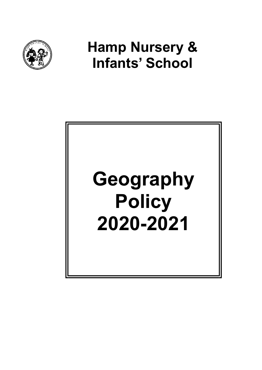

# Hamp Nursery & Infants' School

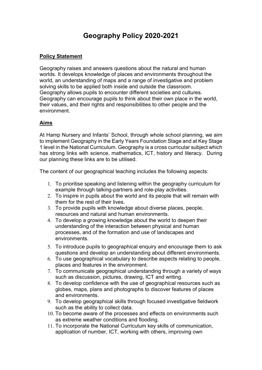# Geography Policy 2020-2021

#### Policy Statement

Geography raises and answers questions about the natural and human worlds. It develops knowledge of places and environments throughout the world, an understanding of maps and a range of investigative and problem solving skills to be applied both inside and outside the classroom. Geography allows pupils to encounter different societies and cultures. Geography can encourage pupils to think about their own place in the world, their values, and their rights and responsibilities to other people and the environment.

### Aims

At Hamp Nursery and Infants' School, through whole school planning, we aim to implement Geography in the Early Years Foundation Stage and at Key Stage 1 level in the National Curriculum. Geography is a cross curricular subject which has strong links with science, mathematics, ICT, history and literacy. During our planning these links are to be utilised.

The content of our geographical teaching includes the following aspects:

- 1. To prioritise speaking and listening within the geography curriculum for example through talking-partners and role-play activities.
- 2. To inspire in pupils about the world and its people that will remain with them for the rest of their lives.
- 3. To provide pupils with knowledge about diverse places, people, resources and natural and human environments.
- 4. To develop a growing knowledge about the world to deepen their understanding of the interaction between physical and human processes, and of the formation and use of landscapes and environments.
- 5. To introduce pupils to geographical enquiry and encourage them to ask questions and develop an understanding about different environments.
- 6. To use geographical vocabulary to describe aspects relating to people, places and features in the environment.
- 7. To communicate geographical understanding through a variety of ways such as discussion, pictures, drawing, ICT and writing.
- 8. To develop confidence with the use of geographical resources such as globes, maps, plans and photographs to discover features of places and environments.
- 9. To develop geographical skills through focused investigative fieldwork such as the ability to collect data.
- 10. To become aware of the processes and effects on environments such as extreme weather conditions and flooding.
- 11. To incorporate the National Curriculum key skills of communication, application of number, ICT, working with others, improving own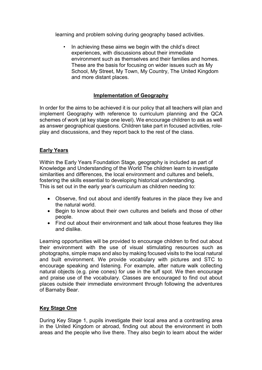learning and problem solving during geography based activities.

• In achieving these aims we begin with the child's direct experiences, with discussions about their immediate environment such as themselves and their families and homes. These are the basis for focusing on wider issues such as My School, My Street, My Town, My Country, The United Kingdom and more distant places.

## Implementation of Geography

In order for the aims to be achieved it is our policy that all teachers will plan and implement Geography with reference to curriculum planning and the QCA schemes of work (at key stage one level). We encourage children to ask as well as answer geographical questions. Children take part in focused activities, roleplay and discussions, and they report back to the rest of the class.

### Early Years

Within the Early Years Foundation Stage, geography is included as part of Knowledge and Understanding of the World The children learn to investigate similarities and differences, the local environment and cultures and beliefs, fostering the skills essential to developing historical understanding. This is set out in the early year's curriculum as children needing to:

- Observe, find out about and identify features in the place they live and the natural world.
- Begin to know about their own cultures and beliefs and those of other people.
- Find out about their environment and talk about those features they like and dislike.

Learning opportunities will be provided to encourage children to find out about their environment with the use of visual stimulating resources such as photographs, simple maps and also by making focused visits to the local natural and built environment. We provide vocabulary with pictures and STC to encourage speaking and listening. For example, after nature walk collecting natural objects (e.g. pine cones) for use in the tuff spot. We then encourage and praise use of the vocabulary. Classes are encouraged to find out about places outside their immediate environment through following the adventures of Barnaby Bear.

# Key Stage One

During Key Stage 1, pupils investigate their local area and a contrasting area in the United Kingdom or abroad, finding out about the environment in both areas and the people who live there. They also begin to learn about the wider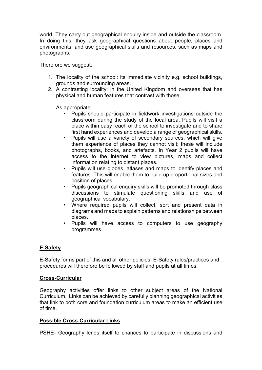world. They carry out geographical enquiry inside and outside the classroom. In doing this, they ask geographical questions about people, places and environments, and use geographical skills and resources, such as maps and photographs.

Therefore we suggest:

- 1. The locality of the school: its immediate vicinity e.g. school buildings, grounds and surrounding areas.
- 2. A contrasting locality: in the United Kingdom and overseas that has physical and human features that contrast with those.

As appropriate:

- Pupils should participate in fieldwork investigations outside the classroom during the study of the local area. Pupils will visit a place within easy reach of the school to investigate and to share first hand experiences and develop a range of geographical skills.
- Pupils will use a variety of secondary sources, which will give them experience of places they cannot visit; these will include photographs, books, and artefacts. In Year 2 pupils will have access to the internet to view pictures, maps and collect information relating to distant places.
- Pupils will use globes, atlases and maps to identify places and features. This will enable them to build up proportional sizes and position of places.
- Pupils geographical enquiry skills will be promoted through class discussions to stimulate questioning skills and use of geographical vocabulary.
- Where required pupils will collect, sort and present data in diagrams and maps to explain patterns and relationships between places.
- Pupils will have access to computers to use geography programmes.

### E-Safety

E-Safety forms part of this and all other policies. E-Safety rules/practices and procedures will therefore be followed by staff and pupils at all times.

#### Cross-Curricular

Geography activities offer links to other subject areas of the National Curriculum. Links can be achieved by carefully planning geographical activities that link to both core and foundation curriculum areas to make an efficient use of time.

#### Possible Cross-Curricular Links

PSHE- Geography lends itself to chances to participate in discussions and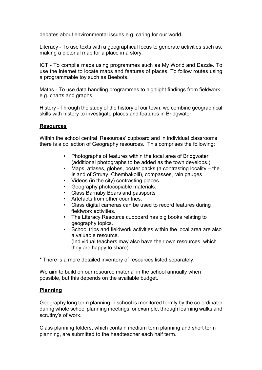debates about environmental issues e.g. caring for our world.

Literacy - To use texts with a geographical focus to generate activities such as, making a pictorial map for a place in a story.

ICT - To compile maps using programmes such as My World and Dazzle. To use the internet to locate maps and features of places. To follow routes using a programmable toy such as Beebots.

Maths - To use data handling programmes to highlight findings from fieldwork e.g. charts and graphs.

History - Through the study of the history of our town, we combine geographical skills with history to investigate places and features in Bridgwater.

#### **Resources**

Within the school central 'Resources' cupboard and in individual classrooms there is a collection of Geography resources. This comprises the following:

- Photographs of features within the local area of Bridgwater (additional photographs to be added as the town develops.)
- Maps, atlases, globes, poster packs (a contrasting locality the Island of Struay, Chembakolli), compasses, rain gauges
- Videos (in the city) contrasting places.
- Geography photocopiable materials.
- Class Barnaby Bears and passports
- Artefacts from other countries.
- Class digital cameras can be used to record features during fieldwork activities.
- The Literacy Resource cupboard has big books relating to geography topics.
- School trips and fieldwork activities within the local area are also a valuable resource. (Individual teachers may also have their own resources, which they are happy to share).

\* There is a more detailed inventory of resources listed separately.

We aim to build on our resource material in the school annually when possible, but this depends on the available budget.

### Planning

Geography long term planning in school is monitored termly by the co-ordinator during whole school planning meetings for example, through learning walks and scrutiny's of work.

Class planning folders, which contain medium term planning and short term planning, are submitted to the headteacher each half term.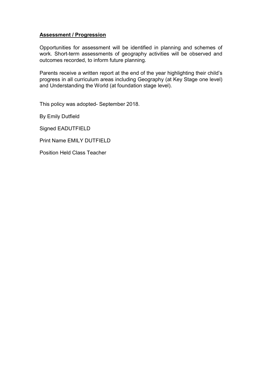#### Assessment / Progression

Opportunities for assessment will be identified in planning and schemes of work. Short-term assessments of geography activities will be observed and outcomes recorded, to inform future planning.

Parents receive a written report at the end of the year highlighting their child's progress in all curriculum areas including Geography (at Key Stage one level) and Understanding the World (at foundation stage level).

This policy was adopted- September 2018.

By Emily Dutfield

Signed EADUTFIELD

Print Name EMILY DUTFIELD

Position Held Class Teacher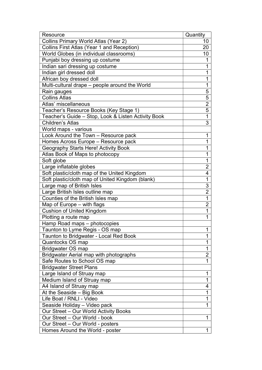| Resource                                            | Quantity       |
|-----------------------------------------------------|----------------|
| <b>Collins Primary World Atlas (Year 2)</b>         | 10             |
| Collins First Atlas (Year 1 and Reception)          | 20             |
| World Globes (in individual classrooms)             | 10             |
| Punjabi boy dressing up costume                     | 1              |
| Indian sari dressing up costume                     | 1              |
| Indian girl dressed doll                            | 1              |
| African boy dressed doll                            | 1              |
| Multi-cultural drape - people around the World      | 1              |
| Rain gauges                                         | 5              |
| <b>Collins Atlas</b>                                | 5              |
| Atlas' miscellaneous                                | $\overline{2}$ |
| Teacher's Resource Books (Key Stage 1)              | 5              |
| Teacher's Guide - Stop, Look & Listen Activity Book | $\mathbf 1$    |
| <b>Children's Atlas</b>                             | 3              |
| World maps - various                                |                |
| Look Around the Town - Resource pack                | 1              |
| Homes Across Europe - Resource pack                 | 1              |
| Geography Starts Here! Activity Book                | 1              |
| Atlas Book of Maps to photocopy                     | 1              |
| Soft globe                                          | 1              |
| Large inflatable globes                             | 2              |
| Soft plastic/cloth map of the United Kingdom        | 4              |
| Soft plastic/cloth map of United Kingdom (blank)    | 1              |
| Large map of British Isles                          | 3              |
| Large British Isles outline map                     | $\overline{2}$ |
| Counties of the British Isles map                   | 1              |
| Map of Europe - with flags                          | $\overline{2}$ |
| <b>Cushion of United Kingdom</b>                    | 1              |
| Plotting a route map                                | 1              |
| Hamp Road maps - photocopies                        |                |
| Taunton to Lyme Regis - OS map                      | T              |
| Taunton to Bridgwater - Local Red Book              | $\mathbf{1}$   |
| Quantocks OS map                                    | 1              |
| Bridgwater OS map                                   | 1              |
| Bridgwater Aerial map with photographs              | $\overline{2}$ |
| Safe Routes to School OS map                        | 1              |
| <b>Bridgwater Street Plans</b>                      |                |
| Large Island of Struay map                          | 1              |
| Medium Island of Struay map                         | 1              |
| A4 Island of Struay map                             | 4              |
| At the Seaside – Big Book                           | 1              |
| Life Boat / RNLI - Video                            | 1              |
| Seaside Holiday - Video pack                        | 1              |
| Our Street - Our World Activity Books               |                |
| Our Street - Our World - book                       | 1              |
| Our Street - Our World - posters                    |                |
| Homes Around the World - poster                     | 1              |